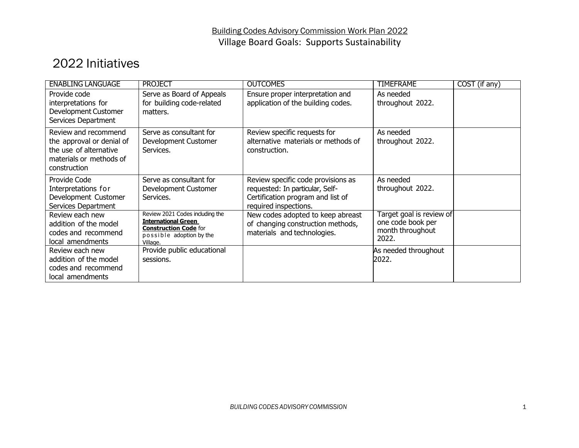## 2022 Initiatives

| <b>ENABLING LANGUAGE</b>                                                                                               | <b>PROJECT</b>                                                                                                                        | <b>OUTCOMES</b>                                                                                                                     | <b>TIMEFRAME</b>                                                           | COST (if any) |
|------------------------------------------------------------------------------------------------------------------------|---------------------------------------------------------------------------------------------------------------------------------------|-------------------------------------------------------------------------------------------------------------------------------------|----------------------------------------------------------------------------|---------------|
| Provide code<br>interpretations for<br>Development Customer<br>Services Department                                     | Serve as Board of Appeals<br>for building code-related<br>matters.                                                                    | Ensure proper interpretation and<br>application of the building codes.                                                              | As needed<br>throughout 2022.                                              |               |
| Review and recommend<br>the approval or denial of<br>the use of alternative<br>materials or methods of<br>construction | Serve as consultant for<br>Development Customer<br>Services.                                                                          | Review specific requests for<br>alternative materials or methods of<br>construction.                                                | As needed<br>throughout 2022.                                              |               |
| Provide Code<br>Interpretations for<br>Development Customer<br>Services Department                                     | Serve as consultant for<br>Development Customer<br>Services.                                                                          | Review specific code provisions as<br>requested: In particular, Self-<br>Certification program and list of<br>required inspections. | As needed<br>throughout 2022.                                              |               |
| Review each new<br>addition of the model<br>codes and recommend<br>local amendments                                    | Review 2021 Codes including the<br><b>International Green</b><br><b>Construction Code for</b><br>possible adoption by the<br>Village. | New codes adopted to keep abreast<br>of changing construction methods,<br>materials and technologies.                               | Target goal is review of<br>one code book per<br>month throughout<br>2022. |               |
| Review each new<br>addition of the model<br>codes and recommend<br>local amendments                                    | Provide public educational<br>sessions.                                                                                               |                                                                                                                                     | As needed throughout<br>2022.                                              |               |